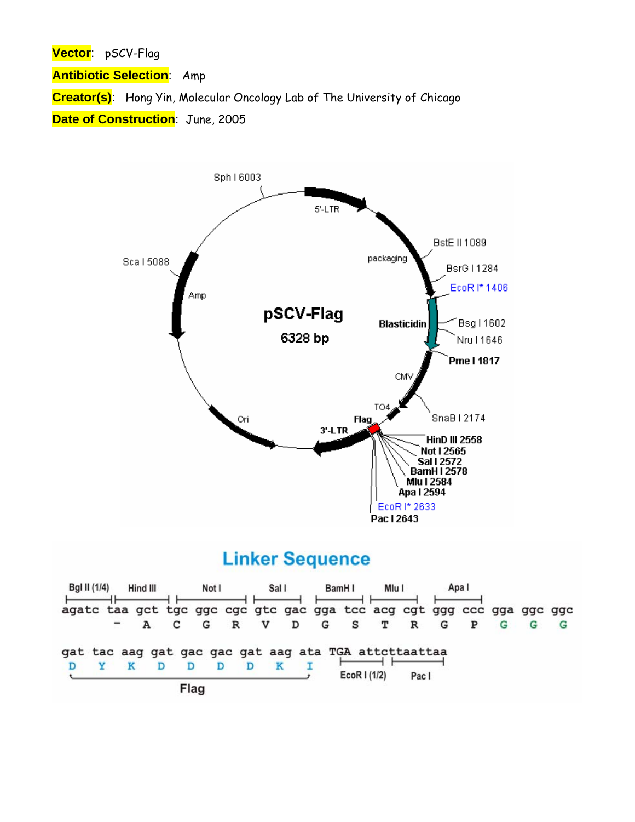**Vector**: pSCV-Flag

**Antibiotic Selection**: Amp

**Creator(s)**: Hong Yin, Molecular Oncology Lab of The University of Chicago

**Date of Construction**: June, 2005



## **Linker Sequence**

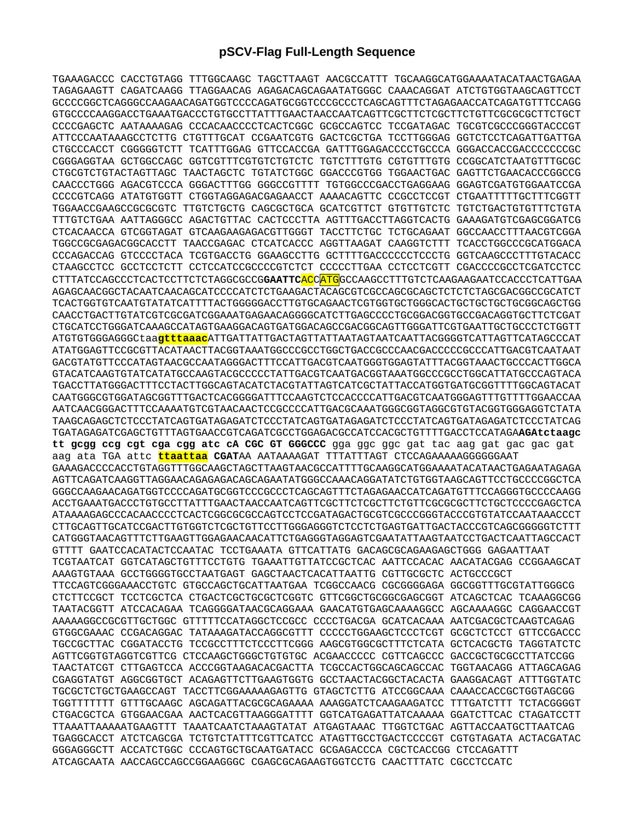## **pSCV-Flag Full-Length Sequence**

TGAAAGACCC CACCTGTAGG TTTGGCAAGC TAGCTTAAGT AACGCCATTT TGCAAGGCATGGAAAATACATAACTGAGAA TAGAGAAGTT CAGATCAAGG TTAGGAACAG AGAGACAGCAGAATATGGGC CAAACAGGAT ATCTGTGGTAAGCAGTTCCT GCCCCGGCTCAGGGCCAAGAACAGATGGTCCCCAGATGCGGTCCCGCCCTCAGCAGTTTCTAGAGAACCATCAGATGTTTCCAGG GTGCCCCAAGGACCTGAAATGACCCTGTGCCTTATTTGAACTAACCAATCAGTTCGCTTCTCGCTTCTGTTCGCGCGCTTCTGCT CCCCGAGCTC AATAAAAGAG CCCACAACCCCTCACTCGGC GCGCCAGTCC TCCGATAGAC TGCGTCGCCCGGGTACCCGT ATTCCCAATAAAGCCTCTTG CTGTTTGCAT CCGAATCGTG GACTCGCTGA TCCTTGGGAG GGTCTCCTCAGATTGATTGA CTGCCCACCT CGGGGGTCTT TCATTTGGAG GTTCCACCGA GATTTGGAGACCCCTGCCCA GGGACCACCGACCCCCCCGC CGGGAGGTAA GCTGGCCAGC GGTCGTTTCGTGTCTGTCTC TGTCTTTGTG CGTGTTTGTG CCGGCATCTAATGTTTGCGC CTGCGTCTGTACTAGTTAGC TAACTAGCTC TGTATCTGGC GGACCCGTGG TGGAACTGAC GAGTTCTGAACACCCGGCCG CAACCCTGGG AGACGTCCCA GGGACTTTGG GGGCCGTTTT TGTGGCCCGACCTGAGGAAG GGAGTCGATGTGGAATCCGA CCCCGTCAGG ATATGTGGTT CTGGTAGGAGACGAGAACCT AAAACAGTTC CCGCCTCCGT CTGAATTTTTGCTTTCGGTT TGGAACCGAAGCCGCGCGTC TTGTCTGCTG CAGCGCTGCA GCATCGTTCT GTGTTGTCTC TGTCTGACTGTGTTTCTGTA TTTGTCTGAA AATTAGGGCC AGACTGTTAC CACTCCCTTA AGTTTGACCTTAGGTCACTG GAAAGATGTCGAGCGGATCG CTCACAACCA GTCGGTAGAT GTCAAGAAGAGACGTTGGGT TACCTTCTGC TCTGCAGAAT GGCCAACCTTTAACGTCGGA TGGCCGCGAGACGGCACCTT TAACCGAGAC CTCATCACCC AGGTTAAGAT CAAGGTCTTT TCACCTGGCCCGCATGGACA CCCAGACCAG GTCCCCTACA TCGTGACCTG GGAAGCCTTG GCTTTTGACCCCCCTCCCTG GGTCAAGCCCTTTGTACACC CTAAGCCTCC GCCTCCTCTT CCTCCATCCGCCCCGTCTCT CCCCCTTGAA CCTCCTCGTT CGACCCCGCCTCGATCCTCC CTTTATCCAGCCCTCACTCCTTCTCTAGGCGCCG**GAATTC**ACCATGGCCAAGCCTTTGTCTCAAGAAGAATCCACCCTCATTGAA AGAGCAACGGCTACAATCAACAGCATCCCCATCTCTGAAGACTACAGCGTCGCCAGCGCAGCTCTCTCTAGCGACGGCCGCATCT TCACTGGTGTCAATGTATATCATTTTACTGGGGGACCTTGTGCAGAACTCGTGGTGCTGGGCACTGCTGCTGCTGCGGCAGCTGG CAACCTGACTTGTATCGTCGCGATCGGAAATGAGAACAGGGGCATCTTGAGCCCCTGCGGACGGTGCCGACAGGTGCTTCTCGAT CTGCATCCTGGGATCAAAGCCATAGTGAAGGACAGTGATGGACAGCCGACGGCAGTTGGGATTCGTGAATTGCTGCCCTCTGGTT ATGTGTGGGAGGGCtaa**gtttaaac**ATTGATTATTGACTAGTTATTAATAGTAATCAATTACGGGGTCATTAGTTCATAGCCCAT ATATGGAGTTCCGCGTTACATAACTTACGGTAAATGGCCCGCCTGGCTGACCGCCCAACGACCCCCGCCCATTGACGTCAATAAT GACGTATGTTCCCATAGTAACGCCAATAGGGACTTTCCATTGACGTCAATGGGTGGAGTATTTACGGTAAACTGCCCACTTGGCA GTACATCAAGTGTATCATATGCCAAGTACGCCCCCTATTGACGTCAATGACGGTAAATGGCCCGCCTGGCATTATGCCCAGTACA TGACCTTATGGGACTTTCCTACTTGGCAGTACATCTACGTATTAGTCATCGCTATTACCATGGTGATGCGGTTTTGGCAGTACAT CAATGGGCGTGGATAGCGGTTTGACTCACGGGGATTTCCAAGTCTCCACCCCATTGACGTCAATGGGAGTTTGTTTTGGAACCAA AATCAACGGGACTTTCCAAAATGTCGTAACAACTCCGCCCCATTGACGCAAATGGGCGGTAGGCGTGTACGGTGGGAGGTCTATA TAAGCAGAGCTCTCCCTATCAGTGATAGAGATCTCCCTATCAGTGATAGAGATCTCCCTATCAGTGATAGAGATCTCCCTATCAG TGATAGAGATCGAGCTGTTTAGTGAACCGTCAGATCGCCTGGAGACGCCATCCACGCTGTTTTGACCTCCATAGA**AGAtctaagc tt gcgg ccg cgt cga cgg atc cA CGC GT GGGCCC** gga ggc ggc gat tac aag gat gac gac gat aag ata TGA attc **ttaattaa CGAT**AA AATAAAAGAT TTTATTTAGT CTCCAGAAAAAGGGGGGAAT GAAAGACCCCACCTGTAGGTTTGGCAAGCTAGCTTAAGTAACGCCATTTTGCAAGGCATGGAAAATACATAACTGAGAATAGAGA AGTTCAGATCAAGGTTAGGAACAGAGAGACAGCAGAATATGGGCCAAACAGGATATCTGTGGTAAGCAGTTCCTGCCCCGGCTCA GGGCCAAGAACAGATGGTCCCCAGATGCGGTCCCGCCCTCAGCAGTTTCTAGAGAACCATCAGATGTTTCCAGGGTGCCCCAAGG ACCTGAAATGACCCTGTGCCTTATTTGAACTAACCAATCAGTTCGCTTCTCGCTTCTGTTCGCGCGCTTCTGCTCCCCGAGCTCA ATAAAAGAGCCCACAACCCCTCACTCGGCGCGCCAGTCCTCCGATAGACTGCGTCGCCCGGGTACCCGTGTATCCAATAAACCCT CTTGCAGTTGCATCCGACTTGTGGTCTCGCTGTTCCTTGGGAGGGTCTCCTCTGAGTGATTGACTACCCGTCAGCGGGGGTCTTT CATGGGTAACAGTTTCTTGAAGTTGGAGAACAACATTCTGAGGGTAGGAGTCGAATATTAAGTAATCCTGACTCAATTAGCCACT GTTTT GAATCCACATACTCCAATAC TCCTGAAATA GTTCATTATG GACAGCGCAGAAGAGCTGGG GAGAATTAAT TCGTAATCAT GGTCATAGCTGTTTCCTGTG TGAAATTGTTATCCGCTCAC AATTCCACAC AACATACGAG CCGGAAGCAT AAAGTGTAAA GCCTGGGGTGCCTAATGAGT GAGCTAACTCACATTAATTG CGTTGCGCTC ACTGCCCGCT TTCCAGTCGGGAAACCTGTC GTGCCAGCTGCATTAATGAA TCGGCCAACG CGCGGGGAGA GGCGGTTTGCGTATTGGGCG CTCTTCCGCT TCCTCGCTCA CTGACTCGCTGCGCTCGGTC GTTCGGCTGCGGCGAGCGGT ATCAGCTCAC TCAAAGGCGG TAATACGGTT ATCCACAGAA TCAGGGGATAACGCAGGAAA GAACATGTGAGCAAAAGGCC AGCAAAAGGC CAGGAACCGT AAAAAGGCCGCGTTGCTGGC GTTTTTCCATAGGCTCCGCC CCCCTGACGA GCATCACAAA AATCGACGCTCAAGTCAGAG GTGGCGAAAC CCGACAGGAC TATAAAGATACCAGGCGTTT CCCCCTGGAAGCTCCCTCGT GCGCTCTCCT GTTCCGACCC TGCCGCTTAC CGGATACCTG TCCGCCTTTCTCCCTTCGGG AAGCGTGGCGCTTTCTCATA GCTCACGCTG TAGGTATCTC AGTTCGGTGTAGGTCGTTCG CTCCAAGCTGGGCTGTGTGC ACGAACCCCC CGTTCAGCCC GACCGCTGCGCCTTATCCGG TAACTATCGT CTTGAGTCCA ACCCGGTAAGACACGACTTA TCGCCACTGGCAGCAGCCAC TGGTAACAGG ATTAGCAGAG CGAGGTATGT AGGCGGTGCT ACAGAGTTCTTGAAGTGGTG GCCTAACTACGGCTACACTA GAAGGACAGT ATTTGGTATC TGCGCTCTGCTGAAGCCAGT TACCTTCGGAAAAAGAGTTG GTAGCTCTTG ATCCGGCAAA CAAACCACCGCTGGTAGCGG TGGTTTTTTT GTTTGCAAGC AGCAGATTACGCGCAGAAAA AAAGGATCTCAAGAAGATCC TTTGATCTTT TCTACGGGGT CTGACGCTCA GTGGAACGAA AACTCACGTTAAGGGATTTT GGTCATGAGATTATCAAAAA GGATCTTCAC CTAGATCCTT TTAAATTAAAAATGAAGTTT TAAATCAATCTAAAGTATAT ATGAGTAAAC TTGGTCTGAC AGTTACCAATGCTTAATCAG TGAGGCACCT ATCTCAGCGA TCTGTCTATTTCGTTCATCC ATAGTTGCCTGACTCCCCGT CGTGTAGATA ACTACGATAC GGGAGGGCTT ACCATCTGGC CCCAGTGCTGCAATGATACC GCGAGACCCA CGCTCACCGG CTCCAGATTT ATCAGCAATA AACCAGCCAGCCGGAAGGGC CGAGCGCAGAAGTGGTCCTG CAACTTTATC CGCCTCCATC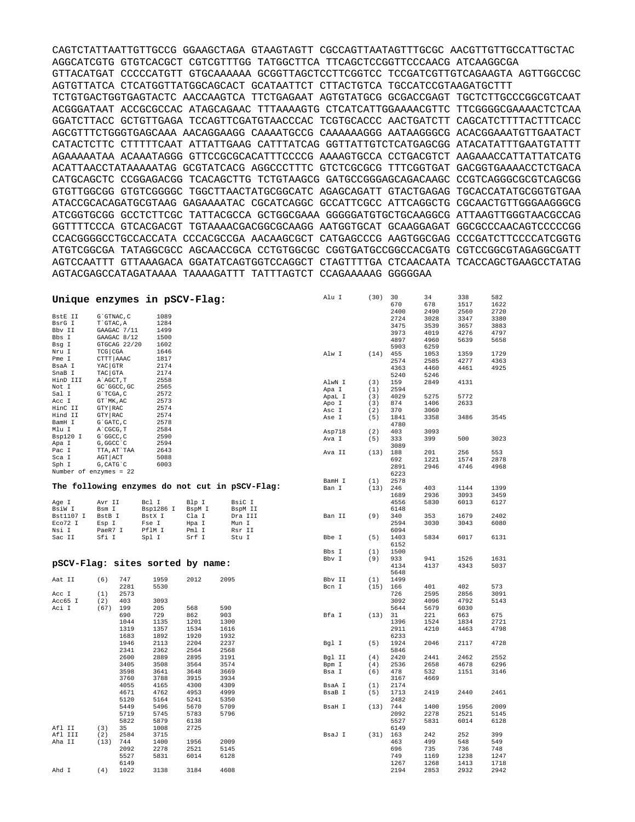CAGTCTATTAATTGTTGCCG GGAAGCTAGA GTAAGTAGTT CGCCAGTTAATAGTTTGCGC AACGTTGTTGCCATTGCTAC AGGCATCGTG GTGTCACGCT CGTCGTTTGG TATGGCTTCA TTCAGCTCCGGTTCCCAACG ATCAAGGCGA GTTACATGAT CCCCCATGTT GTGCAAAAAA GCGGTTAGCTCCTTCGGTCC TCCGATCGTTGTCAGAAGTA AGTTGGCCGC AGTGTTATCA CTCATGGTTATGGCAGCACT GCATAATTCT CTTACTGTCA TGCCATCCGTAAGATGCTTT TCTGTGACTGGTGAGTACTC AACCAAGTCA TTCTGAGAAT AGTGTATGCG GCGACCGAGT TGCTCTTGCCCGGCGTCAAT ACGGGATAAT ACCGCGCCAC ATAGCAGAAC TTTAAAAGTG CTCATCATTGGAAAACGTTC TTCGGGGCGAAAACTCTCAA GGATCTTACC GCTGTTGAGA TCCAGTTCGATGTAACCCAC TCGTGCACCC AACTGATCTT CAGCATCTTTTACTTTCACC AGCGTTTCTGGGTGAGCAAA AACAGGAAGG CAAAATGCCG CAAAAAAGGG AATAAGGGCG ACACGGAAATGTTGAATACT CATACTCTTC CTTTTTCAAT ATTATTGAAG CATTTATCAG GGTTATTGTCTCATGAGCGG ATACATATTTGAATGTATTT AGAAAAATAA ACAAATAGGG GTTCCGCGCACATTTCCCCG AAAAGTGCCA CCTGACGTCT AAGAAACCATTATTATCATG ACATTAACCTATAAAAATAG GCGTATCACG AGGCCCTTTC GTCTCGCGCG TTTCGGTGAT GACGGTGAAAACCTCTGACA CATGCAGCTC CCGGAGACGG TCACAGCTTG TCTGTAAGCG GATGCCGGGAGCAGACAAGC CCGTCAGGGCGCGTCAGCGG GTGTTGGCGG GTGTCGGGGC TGGCTTAACTATGCGGCATC AGAGCAGATT GTACTGAGAG TGCACCATATGCGGTGTGAA ATACCGCACAGATGCGTAAG GAGAAAATAC CGCATCAGGC GCCATTCGCC ATTCAGGCTG CGCAACTGTTGGGAAGGGCG ATCGGTGCGG GCCTCTTCGC TATTACGCCA GCTGGCGAAA GGGGGATGTGCTGCAAGGCG ATTAAGTTGGGTAACGCCAG GGTTTTCCCA GTCACGACGT TGTAAAACGACGGCGCAAGG AATGGTGCAT GCAAGGAGAT GGCGCCCAACAGTCCCCCGG CCACGGGGCCTGCCACCATA CCCACGCCGA AACAAGCGCT CATGAGCCCG AAGTGGCGAG CCCGATCTTCCCCATCGGTG ATGTCGGCGA TATAGGCGCC AGCAACCGCA CCTGTGGCGC CGGTGATGCCGGCCACGATG CGTCCGGCGTAGAGGCGATT AGTCCAATTT GTTAAAGACA GGATATCAGTGGTCCAGGCT CTAGTTTTGA CTCAACAATA TCACCAGCTGAAGCCTATAG AGTACGAGCCATAGATAAAA TAAAAGATTT TATTTAGTCT CCAGAAAAAG GGGGGAA

| Unique enzymes in pSCV-Flag:     |                    |              |           |        |                                                | Alu I  | (30) | 30<br>670    | 34<br>678    | 338<br>1517  | 582<br>1622  |
|----------------------------------|--------------------|--------------|-----------|--------|------------------------------------------------|--------|------|--------------|--------------|--------------|--------------|
| BstE II                          | G`GTNAC, C         |              | 1089      |        |                                                |        |      | 2400         | 2490         | 2560         | 2720         |
| BsrG I                           | T`GTAC, A          |              | 1284      |        |                                                |        |      | 2724         | 3028         | 3347         | 3380         |
| Bbv II                           | GAAGAC 7/11        |              | 1499      |        |                                                |        |      | 3475         | 3539         | 3657         | 3883         |
| Bbs I                            | GAAGAC 8/12        |              | 1500      |        |                                                |        |      | 3973         | 4019         | 4276         | 4797         |
| Bsg I                            |                    | GTGCAG 22/20 | 1602      |        |                                                |        |      | 4897         | 4960         | 5639         | 5658         |
| Nru I                            | TCG CGA            |              | 1646      |        |                                                |        |      | 5903         | 6259         |              |              |
| Pme I                            | CTTT AAAC          |              | 1817      |        |                                                | Alw I  | (14) | 455          | 1053         | 1359         | 1729         |
|                                  |                    |              | 2174      |        |                                                |        |      | 2574         | 2585         | 4277         | 4363         |
| BsaA I<br>SnaB I                 | YAC GTR<br>TAC GTA |              | 2174      |        |                                                |        |      | 4363         | 4460         | 4461         | 4925         |
|                                  |                    |              |           |        |                                                |        |      | 5240         | 5246         |              |              |
| HinD III                         | A`AGCT, T          |              | 2558      |        |                                                | AlwN I | (3)  | 159          | 2849         | 4131         |              |
| Not I                            | GC 'GGCC, GC       |              | 2565      |        |                                                | Apa I  | (1)  | 2594         |              |              |              |
| Sal I                            | G`TCGA, C          |              | 2572      |        |                                                | ApaL I | (3)  | 4029         | 5275         | 5772         |              |
| Acc I                            | GT `MK, AC         |              | 2573      |        |                                                | Apo I  | (3)  | 874          | 1406         | 2633         |              |
| HinC II                          | GTY RAC            |              | 2574      |        |                                                | Asc I  | (2)  | 370          | 3060         |              |              |
| Hind II                          | GTY RAC            |              | 2574      |        |                                                | Ase I  | (5)  | 1841         | 3358         | 3486         | 3545         |
| BamH I                           | G`GATC, C          |              | 2578      |        |                                                |        |      | 4780         |              |              |              |
| Mlu I                            | A CGCG, T          |              | 2584      |        |                                                | Asp718 | (2)  | 403          | 3093         |              |              |
| Bsp120 I                         | G`GGCC, C          |              | 2590      |        |                                                | Ava I  | (5)  | 333          | 399          | 500          | 3023         |
| Apa I                            | G, GGCC `C         |              | 2594      |        |                                                |        |      | 3089         |              |              |              |
| Pac I                            | TTA, AT`TAA        |              | 2643      |        |                                                | Ava II | (13) | 188          | 201          | 256          | 553          |
| Sca I                            | AGT   ACT          |              | 5088      |        |                                                |        |      | 692          | 1221         | 1574         | 2878         |
| Sph I                            | G, CATG C          |              | 6003      |        |                                                |        |      | 2891         | 2946         | 4746         | 4968         |
| Number of enzymes = 22           |                    |              |           |        |                                                |        |      | 6223         |              |              |              |
|                                  |                    |              |           |        |                                                | BamH I | (1)  | 2578         |              |              |              |
|                                  |                    |              |           |        | The following enzymes do not cut in pSCV-Flag: | Ban I  | (13) | 246          | 403          | 1144         | 1399         |
|                                  |                    |              |           |        |                                                |        |      |              |              | 3093         | 3459         |
|                                  |                    |              |           |        |                                                |        |      | 1689<br>4556 | 2936         |              |              |
| Age I                            | Avr II             |              | Bcl I     | Blp I  | BsiC I                                         |        |      | 6148         | 5830         | 6013         | 6127         |
| BsiW I                           | Bsm I              |              | Bsp1286 I | BspM I | BspM II                                        |        |      |              |              |              |              |
| Bst1107 I                        | BstB I             |              | BstX I    | Cla I  | Dra III                                        | Ban II | (9)  | 340          | 353          | 1679         | 2402         |
| Eco72 I                          | Esp I              |              | Fse I     | Hpa I  | Mun I                                          |        |      | 2594         | 3030         | 3043         | 6080         |
| Nsi I                            | PaeR7 I            |              | PflM I    | Pml I  | Rsr II                                         |        |      | 6094         |              |              |              |
| Sac II                           | Sfi I              |              | Spl I     | Srf I  | Stu I                                          | Bbe I  | (5)  | 1403         | 5834         | 6017         | 6131         |
|                                  |                    |              |           |        |                                                |        |      | 6152         |              |              |              |
|                                  |                    |              |           |        |                                                | Bbs I  | (1)  | 1500         |              |              |              |
| pSCV-Flag: sites sorted by name: |                    |              |           |        |                                                | Bby I  | (9)  | 933          | 941          | 1526         | 1631         |
|                                  |                    |              |           |        |                                                |        |      | 4134         | 4137         | 4343         | 5037         |
|                                  |                    |              |           |        |                                                |        |      | 5648         |              |              |              |
| Aat II                           | (6)                | 747          |           |        |                                                |        |      |              |              |              |              |
|                                  |                    |              | 1959      | 2012   | 2095                                           | Bbv II | (1)  | 1499         |              |              |              |
| Acc I                            |                    | 2281         | 5530      |        |                                                | Bcn I  | (15) | 166          | 401          | 402          | 573          |
| Acc65 I                          | (1)                | 2573         |           |        |                                                |        |      | 726          | 2595         | 2856         | 3091         |
|                                  | (2)                | 403          | 3093      |        |                                                |        |      | 3092         | 4096         | 4792         | 5143         |
| Aci I                            | (67)               | 199          | 205       | 568    | 590                                            |        |      | 5644         | 5679         | 6030         |              |
|                                  |                    | 690          | 729       | 862    | 903                                            | Bfa I  | (13) | 31           | 221          | 663          | 675          |
|                                  |                    | 1044         | 1135      | 1201   | 1300                                           |        |      | 1396         | 1524         | 1834         | 2721         |
|                                  |                    | 1319         | 1357      | 1534   | 1616                                           |        |      | 2911         | 4210         | 4463         | 4798         |
|                                  |                    | 1683         | 1892      | 1920   | 1932                                           |        |      | 6233         |              |              |              |
|                                  |                    | 1946         | 2113      | 2204   | 2237                                           |        | (5)  | 1924         | 2046         | 2117         | 4728         |
|                                  |                    | 2341         | 2362      | 2564   | 2568                                           | Bgl I  |      | 5846         |              |              |              |
|                                  |                    |              |           |        |                                                |        |      |              |              |              |              |
|                                  |                    | 2600         | 2889      | 2895   | 3191                                           | Bgl II | (4)  | 2420         | 2441         | 2462         | 2552         |
|                                  |                    | 3405         | 3508      | 3564   | 3574                                           | Bpm I  | (4)  | 2536         | 2658         | 4678         | 6296         |
|                                  |                    | 3598         | 3641      | 3648   | 3669                                           | Bsa I  | (6)  | 478          | 532          | 1151         | 3146         |
|                                  |                    | 3760         | 3788      | 3915   | 3934                                           |        |      | 3167         | 4669         |              |              |
|                                  |                    | 4055         | 4165      | 4300   | 4309                                           | BsaA I | (1)  | 2174         |              |              |              |
|                                  |                    | 4671         | 4762      | 4953   | 4999                                           | BsaB I | (5)  | 1713         | 2419         | 2440         | 2461         |
|                                  |                    | 5120         | 5164      | 5241   | 5350                                           |        |      | 2482         |              |              |              |
|                                  |                    | 5449         | 5496      | 5670   | 5709                                           | BsaH I | (13) | 744          | 1400         | 1956         | 2009         |
|                                  |                    | 5719         | 5745      | 5783   | 5796                                           |        |      | 2092         | 2278         | 2521         | 5145         |
|                                  |                    | 5822         | 5879      | 6138   |                                                |        |      | 5527         | 5831         | 6014         | 6128         |
| Afl II                           | (3)                | 35           | 1008      | 2725   |                                                |        |      | 6149         |              |              |              |
| Afl III                          | (2)                | 2584         | 3715      |        |                                                | BsaJ I | (31) | 163          | 242          | 252          | 399          |
| Aha II                           | (13)               | 744          | 1400      | 1956   | 2009                                           |        |      | 463          | 499          | 548          | 549          |
|                                  |                    | 2092         | 2278      | 2521   | 5145                                           |        |      | 696          | 735          | 736          | 748          |
|                                  |                    | 5527         | 5831      | 6014   | 6128                                           |        |      | 749          | 1169         | 1238         | 1247         |
| Ahd I                            | (4)                | 6149<br>1022 | 3138      | 3184   | 4608                                           |        |      | 1267<br>2194 | 1268<br>2853 | 1413<br>2932 | 1718<br>2942 |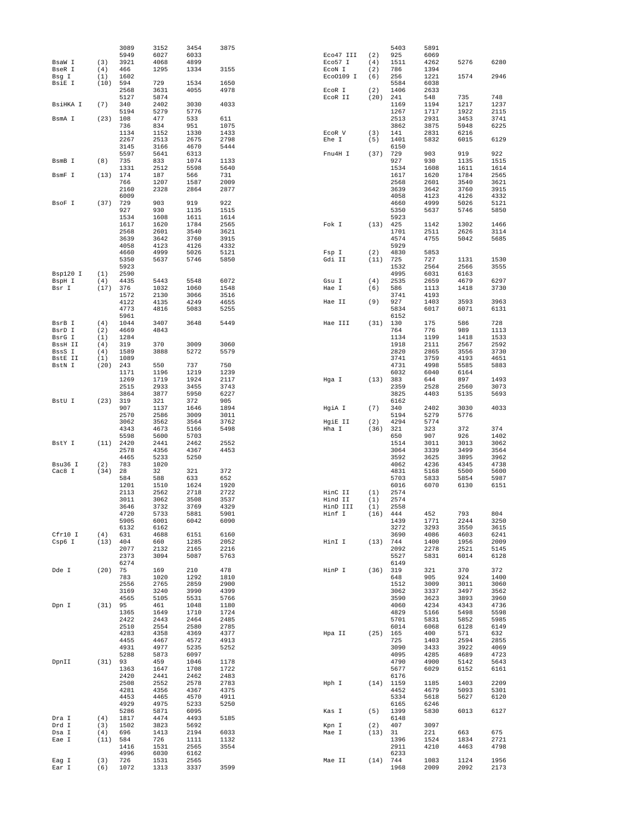|                 |            | 3089         | 3152         | 3454         | 3875         |                     |            | 5403         | 5891         |              |              |
|-----------------|------------|--------------|--------------|--------------|--------------|---------------------|------------|--------------|--------------|--------------|--------------|
|                 |            | 5949         | 6027         | 6033         |              | Eco47 III           | (2)        | 925          | 6069         |              |              |
| BsaW I          | (3)<br>(4) | 3921<br>466  | 4068<br>1295 | 4899<br>1334 | 3155         | Eco57 I             | (4)<br>(2) | 1511<br>786  | 4262<br>1394 | 5276         | 6280         |
| BseR I<br>Bsq I | (1)        | 1602         |              |              |              | ECON I<br>Eco0109 I | (6)        | 256          | 1221         | 1574         | 2946         |
| BsiE I          | (10)       | 594          | 729          | 1534         | 1650         |                     |            | 5584         | 6038         |              |              |
|                 |            | 2568         | 3631         | 4055         | 4978         | EcoR I              | (2)        | 1406         | 2633         |              |              |
|                 |            | 5127         | 5874         |              |              | ECOR II             | (20)       | 241          | 548          | 735          | 748          |
| BsiHKA I        | (7)        | 340          | 2402         | 3030         | 4033         |                     |            | 1169         | 1194         | 1217         | 1237         |
|                 |            | 5194         | 5279         | 5776         |              |                     |            | 1267         | 1717         | 1922         | 2115         |
| BsmA I          | (23)       | 108          | 477          | 533          | 611          |                     |            | 2513         | 2931         | 3453         | 3741         |
|                 |            | 736          | 834          | 951          | 1075         |                     |            | 3862         | 3875         | 5948         | 6225         |
|                 |            | 1134         | 1152         | 1330         | 1433         | ECOR V              | (3)        | 141          | 2831         | 6216         |              |
|                 |            | 2267         | 2513         | 2675         | 2798         | Ehe I               | (5)        | 1401         | 5832         | 6015         | 6129         |
|                 |            | 3145         | 3166         | 4670         | 5444         |                     |            | 6150         |              |              |              |
|                 |            | 5597         | 5641         | 6313         |              | Fnu4H I             | (37)       | 729          | 903          | 919          | 922          |
| BsmB I          | (8)        | 735          | 833          | 1074         | 1133         |                     |            | 927          | 930          | 1135         | 1515         |
|                 |            | 1331         | 2512         | 5598         | 5640         |                     |            | 1534         | 1608         | 1611         | 1614         |
| BsmF I          | (13)       | 174          | 187          | 566          | 731          |                     |            | 1617         | 1620         | 1784         | 2565         |
|                 |            | 766          | 1207         | 1587         | 2009         |                     |            | 2568         | 2601         | 3540         | 3621         |
|                 |            | 2160<br>6009 | 2328         | 2864         | 2877         |                     |            | 3639<br>4058 | 3642<br>4123 | 3760<br>4126 | 3915<br>4332 |
| BsoF I          | (37)       | 729          | 903          | 919          | 922          |                     |            | 4660         | 4999         | 5026         | 5121         |
|                 |            | 927          | 930          | 1135         | 1515         |                     |            | 5350         | 5637         | 5746         | 5850         |
|                 |            | 1534         | 1608         | 1611         | 1614         |                     |            | 5923         |              |              |              |
|                 |            | 1617         | 1620         | 1784         | 2565         | Fok I               | (13)       | 425          | 1142         | 1302         | 1466         |
|                 |            | 2568         | 2601         | 3540         | 3621         |                     |            | 1701         | 2511         | 2626         | 3114         |
|                 |            | 3639         | 3642         | 3760         | 3915         |                     |            | 4574         | 4755         | 5042         | 5685         |
|                 |            | 4058         | 4123         | 4126         | 4332         |                     |            | 5929         |              |              |              |
|                 |            | 4660         | 4999         | 5026         | 5121         | Fsp I               | (2)        | 4830         | 5853         |              |              |
|                 |            | 5350         | 5637         | 5746         | 5850         | Gdi II              | (11)       | 725          | 727          | 1131         | 1530         |
|                 |            | 5923         |              |              |              |                     |            | 1532         | 2564         | 2566         | 3555         |
| Bsp120 I        | (1)        | 2590         |              |              |              |                     |            | 4995         | 6031         | 6163         |              |
| BspH I          | (4)        | 4435         | 5443         | 5548         | 6072         | Gsu I               | (4)        | 2535         | 2659         | 4679         | 6297         |
| Bsr I           | (17)       | 376          | 1032         | 1060         | 1548         | Hae I               | (6)        | 586          | 1113         | 1418         | 3730         |
|                 |            | 1572<br>4122 | 2130<br>4135 | 3066<br>4249 | 3516<br>4655 | Hae II              | (9)        | 3741<br>927  | 4193<br>1403 | 3593         | 3963         |
|                 |            | 4773         | 4816         | 5083         | 5255         |                     |            | 5834         | 6017         | 6071         | 6131         |
|                 |            | 5961         |              |              |              |                     |            | 6152         |              |              |              |
| BsrB I          | (4)        | 1044         | 3407         | 3648         | 5449         | Hae III             | (31)       | 130          | 175          | 586          | 728          |
| BsrD I          | (2)        | 4669         | 4843         |              |              |                     |            | 764          | 776          | 989          | 1113         |
| BsrG I          | (1)        | 1284         |              |              |              |                     |            | 1134         | 1199         | 1418         | 1533         |
| BssH II         | (4)        | 319          | 370          | 3009         | 3060         |                     |            | 1918         | 2111         | 2567         | 2592         |
| BssS I          | (4)        | 1589         | 3888         | 5272         | 5579         |                     |            | 2820         | 2865         | 3556         | 3730         |
| BstE II         | (1)        | 1089         |              |              |              |                     |            | 3741         | 3759         | 4193         | 4651         |
| BstN I          | (20)       | 243          | 550          | 737          | 750          |                     |            | 4731         | 4998         | 5585         | 5883         |
|                 |            | 1171         | 1196         | 1219         | 1239         |                     |            | 6032         | 6040         | 6164         |              |
|                 |            | 1269         | 1719         | 1924         | 2117         | Hga I               | (13)       | 383          | 644          | 897          | 1493         |
|                 |            | 2515         | 2933         | 3455         | 3743         |                     |            | 2359         | 2528         | 2560         | 3073         |
|                 |            | 3864         | 3877         | 5950         | 6227         |                     |            | 3825         | 4403         | 5135         | 5693         |
| BstU I          | (23)       | 319<br>907   | 321<br>1137  | 372<br>1646  | 905<br>1894  | HgiA I              | (7)        | 6162<br>340  | 2402         | 3030         | 4033         |
|                 |            | 2570         | 2586         | 3009         | 3011         |                     |            | 5194         | 5279         | 5776         |              |
|                 |            | 3062         | 3562         | 3564         | 3762         | HgiE II             | (2)        | 4294         | 5774         |              |              |
|                 |            | 4343         | 4673         | 5166         | 5498         | Hha I               | (36)       | 321          | 323          | 372          | 374          |
|                 |            | 5598         | 5600         | 5703         |              |                     |            | 650          | 907          | 926          | 1402         |
| BstY I          | (11)       | 2420         | 2441         | 2462         | 2552         |                     |            | 1514         | 3011         | 3013         | 3062         |
|                 |            | 2578         | 4356         | 4367         | 4453         |                     |            | 3064         | 3339         | 3499         | 3564         |
|                 |            | 4465         | 5233         | 5250         |              |                     |            | 3592         | 3625         | 3895         | 3962         |
| Bsu36 I         | (2)        | 783          | 1020         |              |              |                     |            | 4062         | 4236         | 4345         | 4738         |
| Cac8 I          | (34)       | 28           | 32           | 321          | 372          |                     |            | 4831         | 5168         | 5500         | 5600         |
|                 |            | 584          | 588          | 633          | 652          |                     |            | 5703         | 5833         | 5854         | 5987         |
|                 |            | 1201         | 1510         | 1624         | 1920         |                     |            | 6016         | 6070         | 6130         | 6151         |
|                 |            | 2113         | 2562         | 2718         | 2722         | HinC II             | (1)        | 2574         |              |              |              |
|                 |            | 3011         | 3062         | 3508         | 3537         | Hind II             | (1)        | 2574         |              |              |              |
|                 |            | 3646         | 3732         | 3769         | 4329<br>5901 | HinD III            | (1)        | 2558         |              | 793          | 804          |
|                 |            | 4720<br>5905 | 5733<br>6001 | 5881<br>6042 | 6090         | Hinf I              | (16)       | 444<br>1439  | 452<br>1771  | 2244         | 3250         |
|                 |            | 6132         | 6162         |              |              |                     |            | 3272         | 3293         | 3550         | 3615         |
| Cfr10 I         | (4)        | 631          | 4688         | 6151         | 6160         |                     |            | 3690         | 4086         | 4603         | 6241         |
| Csp6 I          | (13)       | 404          | 660          | 1285         | 2052         | HinI I              | (13)       | 744          | 1400         | 1956         | 2009         |
|                 |            | 2077         | 2132         | 2165         | 2216         |                     |            | 2092         | 2278         | 2521         | 5145         |
|                 |            | 2373         | 3094         | 5087         | 5763         |                     |            | 5527         | 5831         | 6014         | 6128         |
|                 |            | 6274         |              |              |              |                     |            | 6149         |              |              |              |
| Dde I           | (20)       | 75           | 169          | 210          | 478          | HinP I              | (36)       | 319          | 321          | 370          | 372          |
|                 |            | 783          | 1020         | 1292         | 1810         |                     |            | 648          | 905          | 924          | 1400         |
|                 |            | 2556         | 2765         | 2859         | 2900         |                     |            | 1512         | 3009         | 3011         | 3060         |
|                 |            | 3169         | 3240         | 3990         | 4399         |                     |            | 3062         | 3337         | 3497         | 3562         |
| Dpn I           | (31)       | 4565<br>95   | 5105<br>461  | 5531<br>1048 | 5766<br>1180 |                     |            | 3590<br>4060 | 3623<br>4234 | 3893<br>4343 | 3960<br>4736 |
|                 |            | 1365         | 1649         | 1710         | 1724         |                     |            | 4829         | 5166         | 5498         | 5598         |
|                 |            | 2422         | 2443         | 2464         | 2485         |                     |            | 5701         | 5831         | 5852         | 5985         |
|                 |            | 2510         | 2554         | 2580         | 2785         |                     |            | 6014         | 6068         | 6128         | 6149         |
|                 |            | 4283         | 4358         | 4369         | 4377         | Hpa II              | (25)       | 165          | 400          | 571          | 632          |
|                 |            | 4455         | 4467         | 4572         | 4913         |                     |            | 725          | 1403         | 2594         | 2855         |
|                 |            | 4931         | 4977         | 5235         | 5252         |                     |            | 3090         | 3433         | 3922         | 4069         |
|                 |            | 5288         | 5873         | 6097         |              |                     |            | 4095         | 4285         | 4689         | 4723         |
| DpnII           | (31)       | 93           | 459          | 1046         | 1178         |                     |            | 4790         | 4900         | 5142         | 5643         |
|                 |            | 1363         | 1647         | 1708         | 1722         |                     |            | 5677         | 6029         | 6152         | 6161         |
|                 |            | 2420         | 2441         | 2462         | 2483         |                     |            | 6176         |              |              |              |
|                 |            | 2508         | 2552         | 2578         | 2783         | Hph I               |            | $(14)$ 1159  | 1185         | 1403         | 2209         |
|                 |            | 4281         | 4356         | 4367         | 4375         |                     |            | 4452         | 4679         | 5093         | 5301         |
|                 |            | 4453         | 4465         | 4570         | 4911         |                     |            | 5334         | 5618         | 5627         | 6120         |
|                 |            | 4929<br>5286 | 4975<br>5871 | 5233<br>6095 | 5250         | Kas I               | (5)        | 6165<br>1399 | 6246<br>5830 | 6013         | 6127         |
| Dra I           | (4)        | 1817         | 4474         | 4493         | 5185         |                     |            | 6148         |              |              |              |
| Drd I           | (3)        | 1502         | 3823         | 5692         |              | Kpn I               | (2)        | 407          | 3097         |              |              |
| Dsa I           | (4)        | 696          | 1413         | 2194         | 6033         | Mae I               | (13)       | 31           | 221          | 663          | 675          |
| Eae I           | (11)       | 584          | 726          | 1111         | 1132         |                     |            | 1396         | 1524         | 1834         | 2721         |
|                 |            | 1416         | 1531         | 2565         | 3554         |                     |            | 2911         | 4210         | 4463         | 4798         |
|                 |            | 4996         | 6030         | 6162         |              |                     |            | 6233         |              |              |              |
| Eag I           | (3)        | 726          | 1531         | 2565         |              | Mae II              | (14)       | 744          | 1083         | 1124         | 1956         |
| Ear I           | (6)        | 1072         | 1313         | 3337         | 3599         |                     |            | 1968         | 2009         | 2092         | 2173         |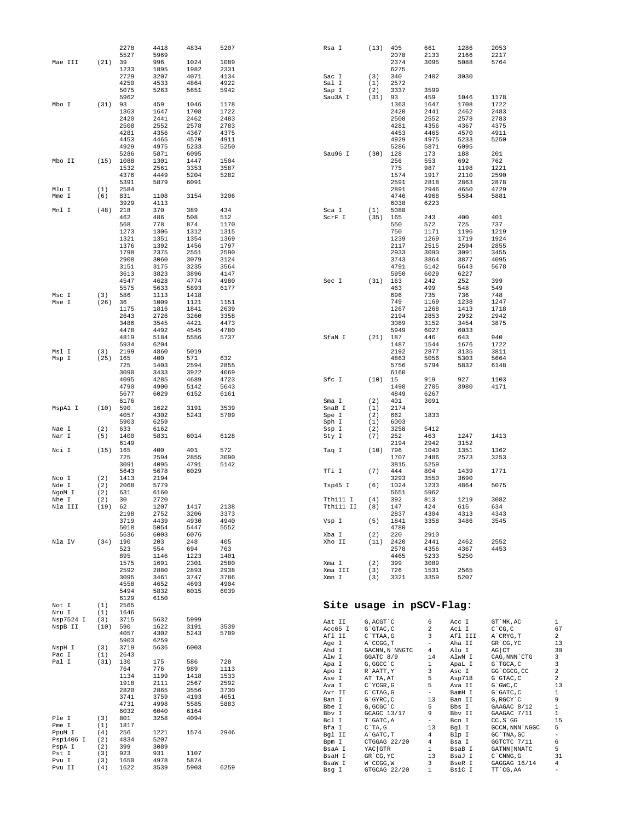|                 |            | 2278         | 4418         | 4834         | 5207         | Rsa I                    | (13)                              | 405            | 661                           | 1286            | 2053                                          |                         |
|-----------------|------------|--------------|--------------|--------------|--------------|--------------------------|-----------------------------------|----------------|-------------------------------|-----------------|-----------------------------------------------|-------------------------|
|                 |            | 5527         | 5969         |              |              |                          |                                   | 2078           | 2133                          | 2166            | 2217                                          |                         |
| Mae III         | (21)       | 39           | 996          | 1024         | 1089         |                          |                                   | 2374           | 3095                          | 5088            | 5764                                          |                         |
|                 |            | 1233         | 1895         | 1982         | 2331         |                          |                                   | 6275           |                               |                 |                                               |                         |
|                 |            | 2729         | 3207         | 4071         | 4134         | Sac I                    | (3)                               | 340            | 2402                          | 3030            |                                               |                         |
|                 |            | 4250         | 4533         | 4864         | 4922         | Sal I                    | (1)                               | 2572           |                               |                 |                                               |                         |
|                 |            | 5075         | 5263         | 5651         | 5942         | Sap I                    | (2)                               | 3337           | 3599                          |                 |                                               |                         |
| Mbo I           | $(31)$ 93  | 5962         | 459          | 1046         | 1178         | Sau3A I                  | (31)                              | 93<br>1363     | 459<br>1647                   | 1046<br>1708    | 1178<br>1722                                  |                         |
|                 |            | 1363         | 1647         | 1708         | 1722         |                          |                                   | 2420           | 2441                          | 2462            | 2483                                          |                         |
|                 |            | 2420         | 2441         | 2462         | 2483         |                          |                                   | 2508           | 2552                          | 2578            | 2783                                          |                         |
|                 |            | 2508         | 2552         | 2578         | 2783         |                          |                                   | 4281           | 4356                          | 4367            | 4375                                          |                         |
|                 |            | 4281         | 4356         | 4367         | 4375         |                          |                                   | 4453           | 4465                          | 4570            | 4911                                          |                         |
|                 |            | 4453         | 4465         | 4570         | 4911         |                          |                                   | 4929           | 4975                          | 5233            | 5250                                          |                         |
|                 |            | 4929         | 4975         | 5233         | 5250         |                          |                                   | 5286           | 5871                          | 6095            |                                               |                         |
|                 |            | 5286         | 5871         | 6095         |              | Sau96 I                  | (30)                              | 128            | 173                           | 188             | 201                                           |                         |
| Mbo II          |            | $(15)$ 1088  | 1301         | 1447         | 1504         |                          |                                   | 256            | 553                           | 692             | 762                                           |                         |
|                 |            | 1532         | 2561         | 3353         | 3587         |                          |                                   | 775            | 987                           | 1198            | 1221                                          |                         |
|                 |            | 4376         | 4449         | 5204         | 5282         |                          |                                   | 1574           | 1917                          | 2110            | 2590                                          |                         |
|                 |            | 5391         | 5879         | 6091         |              |                          |                                   | 2591           | 2818                          | 2863            | 2878                                          |                         |
| Mlu I           | (1)        | 2584         |              |              |              |                          |                                   | 2891           | 2946                          | 4650            | 4729                                          |                         |
| Mme I           | (6)        | 831          | 1108         | 3154         | 3206         |                          |                                   | 4746           | 4968                          | 5584            | 5881                                          |                         |
|                 |            | 3929         | 4113         |              |              |                          |                                   | 6038           | 6223                          |                 |                                               |                         |
| Mnl I           | (48)       | 218          | 370          | 389          | 434          | Sca I                    | (1)                               | 5088           |                               |                 |                                               |                         |
|                 |            | 462          | 486          | 508          | 512          | ScrF I                   | (35)                              | 165            | 243                           | 400             | 401                                           |                         |
|                 |            | 568          | 778          | 874          | 1170         |                          |                                   | 550            | 572                           | 725             | 737                                           |                         |
|                 |            | 1273         | 1306         | 1312         | 1315         |                          |                                   | 750            | 1171                          | 1196            | 1219                                          |                         |
|                 |            | 1321         | 1351         | 1354         | 1369         |                          |                                   | 1239           | 1269                          | 1719            | 1924                                          |                         |
|                 |            | 1376         | 1392         | 1456         | 1797         |                          |                                   | 2117           | 2515                          | 2594            | 2855                                          |                         |
|                 |            | 1798         | 2375         | 2551         | 2590         |                          |                                   | 2933           | 3090                          | 3091            | 3455                                          |                         |
|                 |            | 2908         | 3060         | 3079         | 3124         |                          |                                   | 3743           | 3864                          | 3877            | 4095                                          |                         |
|                 |            | 3151         | 3175         | 3235         | 3564         |                          |                                   | 4791           | 5142                          | 5643            | 5678                                          |                         |
|                 |            | 3613<br>4547 | 3823<br>4628 | 3896<br>4774 | 4147<br>4980 | Sec I                    |                                   | 5950<br>163    | 6029<br>242                   | 6227<br>252     | 399                                           |                         |
|                 |            | 5575         |              | 5893         | 6177         |                          | (31)                              | 463            | 499                           | 548             | 549                                           |                         |
| Msc I           | (3)        | 586          | 5633<br>1113 | 1418         |              |                          |                                   | 696            | 735                           | 736             | 748                                           |                         |
| Mse I           | (26)       | 36           | 1009         | 1121         | 1151         |                          |                                   | 749            | 1169                          | 1238            | 1247                                          |                         |
|                 |            | 1175         | 1816         | 1841         | 2639         |                          |                                   | 1267           | 1268                          | 1413            | 1718                                          |                         |
|                 |            | 2643         | 2726         | 3260         | 3358         |                          |                                   | 2194           | 2853                          | 2932            | 2942                                          |                         |
|                 |            | 3486         | 3545         | 4421         | 4473         |                          |                                   | 3089           | 3152                          | 3454            | 3875                                          |                         |
|                 |            | 4478         | 4492         | 4545         | 4780         |                          |                                   | 5949           | 6027                          | 6033            |                                               |                         |
|                 |            | 4819         | 5184         | 5556         | 5737         | SfaN I                   | (21)                              | 187            | 446                           | 643             | 940                                           |                         |
|                 |            | 5934         | 6204         |              |              |                          |                                   | 1487           | 1544                          | 1676            | 1722                                          |                         |
| Msl I           | (3)        | 2199         | 4860         | 5019         |              |                          |                                   | 2192           | 2877                          | 3135            | 3811                                          |                         |
| Msp I           | (25)       | 165          | 400          | 571          | 632          |                          |                                   | 4863           | 5056                          | 5303            | 5664                                          |                         |
|                 |            | 725          | 1403         | 2594         | 2855         |                          |                                   | 5756           | 5794                          | 5832            | 6148                                          |                         |
|                 |            | 3090         | 3433         | 3922         | 4069         |                          |                                   | 6160           |                               |                 |                                               |                         |
|                 |            | 4095         | 4285         | 4689         | 4723         | Sfc I                    | (10)                              | 15             | 919                           | 927             | 1103                                          |                         |
|                 |            | 4790         | 4900         | 5142         | 5643         |                          |                                   | 1498           | 2705                          | 3980            | 4171                                          |                         |
|                 |            | 5677         | 6029         | 6152         | 6161         |                          |                                   | 4849           | 6267                          |                 |                                               |                         |
|                 |            | 6176         |              |              |              | Sma I                    | (2)                               | 401            | 3091                          |                 |                                               |                         |
| MspA1 I         | (10)       | 590          | 1622         | 3191         | 3539         | SnaB I                   | (1)                               | 2174           |                               |                 |                                               |                         |
|                 |            | 4057         | 4302         | 5243         | 5709         | Spe I                    | (2)                               | 662            | 1833                          |                 |                                               |                         |
|                 |            | 5903         | 6259         |              |              | Sph I                    | (1)                               | 6003           |                               |                 |                                               |                         |
| Nae I           | (2)        | 633          | 6162         |              |              | Ssp I                    | (2)                               | 3258           | 5412                          |                 |                                               |                         |
| Nar I           | (5)        | 1400         | 5831         | 6014         | 6128         | Sty I                    | (7)                               | 252            | 463                           | 1247            | 1413                                          |                         |
|                 |            | 6149         |              |              |              |                          |                                   | 2194           | 2942                          | 3152            |                                               |                         |
|                 | (15)       | 165          | 400          | 401          | 572          | Taq I                    | (10)                              | 796            | 1040                          | 1351            | 1362                                          |                         |
| Nci I           |            |              |              | 2855         | 3090         |                          |                                   | 1707<br>3815   | 2486<br>5259                  | 2573            | 3253                                          |                         |
|                 |            | 725          | 2594         |              |              |                          |                                   |                |                               |                 |                                               |                         |
|                 |            | 3091         | 4095         | 4791         | 5142         |                          |                                   |                |                               |                 |                                               |                         |
|                 |            | 5643         | 5678         | 6029         |              | Tfi I                    | (7)                               | 444            | 804                           | 1439            | 1771                                          |                         |
| Nco I           | (2)        | 1413         | 2194         |              |              |                          |                                   | 3293           | 3550                          | 3690            |                                               |                         |
| Nde I           | (2)        | 2068         | 5779         |              |              | Tsp45 I                  | (6)                               | 1024           | 1233                          | 4864            | 5075                                          |                         |
| NgoM I          | (2)        | 631          | 6160         |              |              |                          |                                   | 5651           | 5962                          |                 |                                               |                         |
| Nhe I           | (2)        | 30           | 2720         |              |              | Tth111 I                 | (4)                               | 392            | 813                           | 1219            | 3082                                          |                         |
| Nla III         | (19)       | 62           | 1207         | 1417         | 2138         | Tth111 II                | (8)                               | 147            | 424                           | 615             | 634                                           |                         |
|                 |            | 2198         | 2752         | 3206         | 3373         |                          |                                   | 2837           | 4304                          | 4313            | 4343                                          |                         |
|                 |            | 3719<br>5018 | 4439<br>5054 | 4930<br>5447 | 4940<br>5552 | Vsp I                    | (5)                               | 1841<br>4780   | 3358                          | 3486            | 3545                                          |                         |
|                 |            |              | 6003         | 6076         |              | Xba I                    | (2)                               | 220            | 2910                          |                 |                                               |                         |
| Nla IV          | (34)       | 5636<br>190  | 203          | 248          | 405          | Xho II                   | (11)                              | 2420           | 2441                          | 2462            | 2552                                          |                         |
|                 |            | 523          | 554          | 694          | 763          |                          |                                   | 2578           | 4356                          | 4367            | 4453                                          |                         |
|                 |            | 895          | 1146         | 1223         | 1401         |                          |                                   | 4465           | 5233                          | 5250            |                                               |                         |
|                 |            | 1575         | 1691         | 2301         | 2580         | Xma I                    | (2)                               | 399            | 3089                          |                 |                                               |                         |
|                 |            | 2592         | 2880         | 2893         | 2938         | Xma III                  | (3)                               | 726            | 1531                          | 2565            |                                               |                         |
|                 |            | 3095         | 3461         | 3747         | 3786         | Xmn I                    | (3)                               | 3321           | 3359                          | 5207            |                                               |                         |
|                 |            | 4558         | 4652         | 4693         | 4904         |                          |                                   |                |                               |                 |                                               |                         |
|                 |            | 5494         | 5832         | 6015         | 6039         |                          |                                   |                |                               |                 |                                               |                         |
|                 |            | 6129         | 6150         |              |              |                          |                                   |                |                               |                 |                                               |                         |
| Not I           | (1)        | 2565         |              |              |              | Site usage in pSCV-Flag: |                                   |                |                               |                 |                                               |                         |
| Nru I           | (1)        | 1646         |              |              |              |                          |                                   |                |                               |                 |                                               |                         |
| Nsp7524 I       | (3)        | 3715         | 5632         | 5999         |              | Aat II                   | $G$ , $\text{ACGT}$<br>$\char`$ C |                | 6                             | Acc I           | GT `MK, AC                                    | $\mathbf{1}$            |
| NspB II         | (10)       | 590          | 1622         | 3191         | 3539         | Acc65 I                  | G`GTAC, C                         |                | 2                             | Aci I           | $C^{\dagger}CG, C$                            | 67                      |
|                 |            | 4057         | 4302         | 5243         | 5709         | Afl II                   | C`TTAA, G                         |                | 3                             | Afl III         | A`CRYG, T                                     | 2                       |
|                 |            | 5903         | 6259         |              |              | Age I                    | A CCGG, T                         |                | $\overline{\phantom{a}}$      | Aha II          | GR CG, YC                                     | 13                      |
| NspH I          | (3)        | 3719         | 5636         | 6003         |              | Ahd I                    |                                   | GACNN, N`NNGTC | $\overline{4}$                | Alu I           | $AG$ $CT$                                     | 30                      |
| Pac I           | (1)        | 2643         |              |              |              | Alw I                    | GGATC 8/9                         |                | 14                            | AlwN I          | ${\rm CAG}$ , ${\rm NNN}$ $\hat{}\;{\rm CTG}$ | 3                       |
| Pal I           | (31)       | 130<br>764   | 175<br>776   | 586<br>989   | 728<br>1113  | Apa I                    | G, GGCC `C                        |                | $\mathbf{1}$                  | ApaL I          | G`TGCA, C                                     | 3                       |
|                 |            | 1134         | 1199         | 1418         | 1533         | Apo I                    | R`AATT, Y                         |                | 3                             | Asc I           | GG 'CGCG, CC                                  | 2                       |
|                 |            | 1918         | 2111         | 2567         | 2592         | Ase I                    | AT`TA, AT                         |                | 5                             | Asp718          | $G$ $GTAC$ , $C$                              | $\overline{\mathbf{c}}$ |
|                 |            | 2820         | 2865         | 3556         | 3730         | Ava I                    | C`YCGR, G                         |                | 5                             | Ava II          | $G$ $GWC$ , $C$                               | 13                      |
|                 |            | 3741         | 3759         | 4193         | 4651         | Avr II                   | $C$ $CTAG$ , $G$                  |                | $\overline{\phantom{a}}$      | BamH I          | G`GATC, C                                     | 1                       |
|                 |            | 4731         | 4998         | 5585         | 5883         | Ban I                    | G`GYRC, C                         |                | 13                            | Ban II          | G, RGCY `C                                    | 9                       |
|                 |            | 6032         | 6040         | 6164         |              | Bbe I                    | G, GCGC `C                        |                | 5                             | Bbs I           | GAAGAC 8/12                                   | 1                       |
| Ple I           | (3)        | 801          | 3258         | 4094         |              | Bbv I                    | GCAGC 13/17                       |                | 9<br>$\overline{\phantom{a}}$ | Bbv II          | GAAGAC 7/11                                   | $\mathbf{1}$            |
| Pme I           | (1)        | 1817         |              |              |              | Bcl I                    | T`GATC, A                         |                | 13                            | Bcn I           | $CC, S$ GG                                    | 15<br>5                 |
| PpuM I          | (4)        | 256          | 1221         | 1574         | 2946         | Bfa I                    | $C^T A$ , G                       |                | 4                             | Bgl I<br>Blp I  | GCCN, NNN 'NGGC<br>GC TNA, GC                 | $\qquad \qquad -$       |
| Psp1406 I       | (2)        | 4834         | 5207         |              |              | Bgl II                   | A`GATC, T                         |                | 4                             |                 |                                               |                         |
| PspA I          | (2)        | 399          | 3089         |              |              | Bpm I<br>BsaA I          | YAC GTR                           | CTGGAG 22/20   | $\mathbf{1}$                  | Bsa I<br>BsaB I | GGTCTC 7/11<br>GATNN NNATC                    | 6<br>5                  |
| Pst I           | (3)        | 923          | 931          | 1107         |              | BsaH I                   | GR CG, YC                         |                | 13                            | BsaJ I          |                                               | 31                      |
| Pvu I<br>Pvu II | (3)<br>(4) | 1650<br>1622 | 4978<br>3539 | 5874<br>5903 | 6259         | BsaW I                   | W`CCGG, W                         |                | 3                             | BseR I          | $C$ $CMNG$ , $G$<br>GAGGAG 16/14              | 4                       |